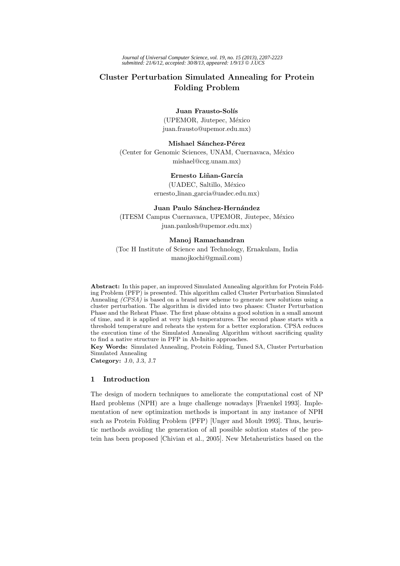# **Cluster Perturbation Simulated Annealing for Protein Folding Problem**

#### **Juan Frausto-Solís**

(UPEMOR, Jiutepec, México juan.frausto@upemor.edu.mx)

**Mishael Sánchez-Pérez** (Center for Genomic Sciences, UNAM, Cuernavaca, México) mishael@ccg.unam.mx)

> Ernesto Liñan-García (UADEC, Saltillo, México ernesto linan garcia@uadec.edu.mx)

# **Juan Paulo Sánchez-Hernández**

(ITESM Campus Cuernavaca, UPEMOR, Jiutepec, México juan.paulosh@upemor.edu.mx)

#### **Manoj Ramachandran**

(Toc H Institute of Science and Technology, Ernakulam, India manojkochi@gmail.com)

**Abstract:** In this paper, an improved Simulated Annealing algorithm for Protein Folding Problem (PFP) is presented. This algorithm called Cluster Perturbation Simulated Annealing *(CPSA)* is based on a brand new scheme to generate new solutions using a cluster perturbation. The algorithm is divided into two phases: Cluster Perturbation Phase and the Reheat Phase. The first phase obtains a good solution in a small amount of time, and it is applied at very high temperatures. The second phase starts with a threshold temperature and reheats the system for a better exploration. CPSA reduces the execution time of the Simulated Annealing Algorithm without sacrificing quality to find a native structure in PFP in Ab-Initio approaches.

**Key Words:** Simulated Annealing, Protein Folding, Tuned SA, Cluster Perturbation Simulated Annealing

**Category:** J.0, J.3, J.7

## **1 Introduction**

The design of modern techniques to ameliorate the computational cost of NP Hard problems (NPH) are a huge challenge nowadays [Fraenkel 1993]. Implementation of new optimization methods is important in any instance of NPH such as Protein Folding Problem (PFP) [Unger and Moult 1993]. Thus, heuristic methods avoiding the generation of all possible solution states of the protein has been proposed [Chivian et al., 2005]. New Metaheuristics based on the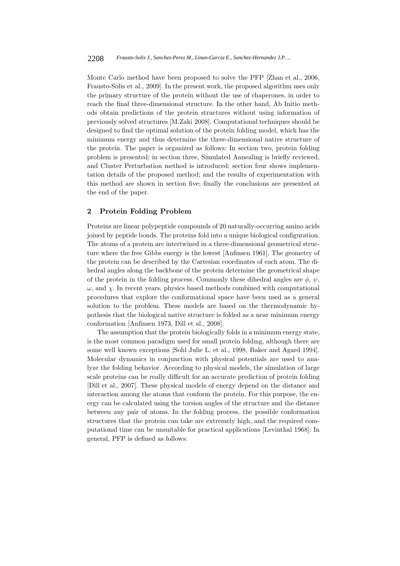Monte Carlo method have been proposed to solve the PFP [Zhan et al., 2006, Frausto-Solis et al., 2009]. In the present work, the proposed algorithm uses only the primary structure of the protein without the use of chaperones, in order to reach the final three-dimensional structure. In the other hand, Ab Initio methods obtain predictions of the protein structures without using information of previously solved structures [M.Zaki 2008]. Computational techniques should be designed to find the optimal solution of the protein folding model, which has the minimum energy and thus determine the three-dimensional native structure of the protein. The paper is organized as follows: In section two, protein folding problem is presented; in section three, Simulated Annealing is briefly reviewed, and Cluster Perturbation method is introduced; section four shows implementation details of the proposed method; and the results of experimentation with this method are shown in section five; finally the conclusions are presented at the end of the paper.

### **2 Protein Folding Problem**

Proteins are linear polypeptide compounds of 20 naturally-occurring amino acids joined by peptide bonds. The proteins fold into a unique biological configuration. The atoms of a protein are intertwined in a three-dimensional geometrical structure where the free Gibbs energy is the lowest [Anfinsen 1961]. The geometry of the protein can be described by the Cartesian coordinates of each atom. The dihedral angles along the backbone of the protein determine the geometrical shape of the protein in the folding process. Commonly these dihedral angles are  $\phi$ ,  $\psi$ ,  $\omega$ , and  $\chi$ . In recent years, physics based methods combined with computational procedures that explore the conformational space have been used as a general solution to the problem. These models are based on the thermodynamic hypothesis that the biological native structure is folded as a near minimum energy conformation [Anfinsen 1973, Dill et al., 2008].

The assumption that the protein biologically folds in a minimum energy state, is the most common paradigm used for small protein folding, although there are some well known exceptions [Sohl Julie L. et al., 1998, Baker and Agard 1994]. Molecular dynamics in conjunction with physical potentials are used to analyze the folding behavior. According to physical models, the simulation of large scale proteins can be really difficult for an accurate prediction of protein folding [Dill et al., 2007]. These physical models of energy depend on the distance and interaction among the atoms that conform the protein. For this purpose, the energy can be calculated using the torsion angles of the structure and the distance between any pair of atoms. In the folding process, the possible conformation structures that the protein can take are extremely high, and the required computational time can be unsuitable for practical applications [Levinthal 1968]. In general, PFP is defined as follows: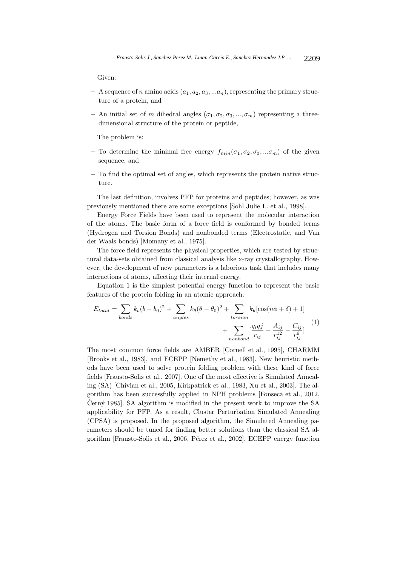Given:

- $-$  A sequence of *n* amino acids  $(a_1, a_2, a_3, \ldots, a_n)$ , representing the primary structure of a protein, and
- $-$  An initial set of m dihedral angles  $(\sigma_1, \sigma_2, \sigma_3, ..., \sigma_m)$  representing a threedimensional structure of the protein or peptide,

The problem is:

- To determine the minimal free energy  $f_{min}(\sigma_1, \sigma_2, \sigma_3, ... \sigma_m)$  of the given sequence, and
- **–** To find the optimal set of angles, which represents the protein native structure.

The last definition, involves PFP for proteins and peptides; however, as was previously mentioned there are some exceptions [Sohl Julie L. et al., 1998].

Energy Force Fields have been used to represent the molecular interaction of the atoms. The basic form of a force field is conformed by bonded terms (Hydrogen and Torsion Bonds) and nonbonded terms (Electrostatic, and Van der Waals bonds) [Momany et al., 1975].

The force field represents the physical properties, which are tested by structural data-sets obtained from classical analysis like x-ray crystallography. However, the development of new parameters is a laborious task that includes many interactions of atoms, affecting their internal energy.

Equation 1 is the simplest potential energy function to represent the basic features of the protein folding in an atomic approach.

$$
E_{total} = \sum_{bonds} k_b (b - b_0)^2 + \sum_{angles} k_\theta (\theta - \theta_0)^2 + \sum_{torsion} k_\theta [\cos(n\phi + \delta) + 1]
$$

$$
+ \sum_{nonbond} \left[ \frac{q_i q_j}{r_{ij}} + \frac{A_{ij}}{r_{ij}^1} - \frac{C_{ij}}{r_{ij}^6} \right] \tag{1}
$$

The most common force fields are AMBER [Cornell et al., 1995], CHARMM [Brooks et al., 1983], and ECEPP [Nemethy et al., 1983]. New heuristic methods have been used to solve protein folding problem with these kind of force fields [Frausto-Solis et al., 2007]. One of the most effective is Simulated Annealing (SA) [Chivian et al., 2005, Kirkpatrick et al., 1983, Xu et al., 2003]. The algorithm has been successfully applied in NPH problems [Fonseca et al., 2012, Cerný 1985. SA algorithm is modified in the present work to improve the SA applicability for PFP. As a result, Cluster Perturbation Simulated Annealing (CPSA) is proposed. In the proposed algorithm, the Simulated Annealing parameters should be tuned for finding better solutions than the classical SA algorithm [Frausto-Solis et al., 2006, Pérez et al., 2002]. ECEPP energy function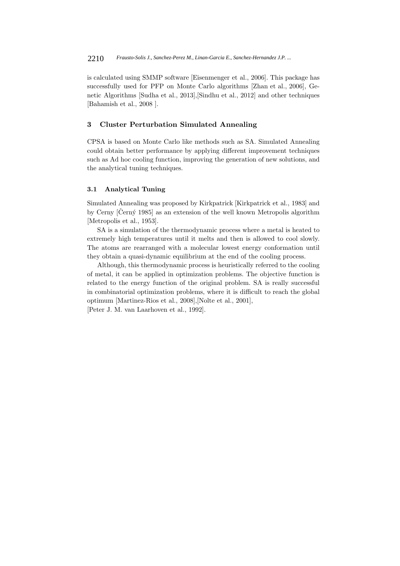is calculated using SMMP software [Eisenmenger et al., 2006]. This package has successfully used for PFP on Monte Carlo algorithms [Zhan et al., 2006], Genetic Algorithms [Sudha et al., 2013],[Sindhu et al., 2012] and other techniques [Bahamish et al., 2008 ].

### **3 Cluster Perturbation Simulated Annealing**

CPSA is based on Monte Carlo like methods such as SA. Simulated Annealing could obtain better performance by applying different improvement techniques such as Ad hoc cooling function, improving the generation of new solutions, and the analytical tuning techniques.

## **3.1 Analytical Tuning**

Simulated Annealing was proposed by Kirkpatrick [Kirkpatrick et al., 1983] and by Cerny  $[\text{Černý } 1985]$  as an extension of the well known Metropolis algorithm [Metropolis et al., 1953].

SA is a simulation of the thermodynamic process where a metal is heated to extremely high temperatures until it melts and then is allowed to cool slowly. The atoms are rearranged with a molecular lowest energy conformation until they obtain a quasi-dynamic equilibrium at the end of the cooling process.

Although, this thermodynamic process is heuristically referred to the cooling of metal, it can be applied in optimization problems. The objective function is related to the energy function of the original problem. SA is really successful in combinatorial optimization problems, where it is difficult to reach the global optimum [Martinez-Rios et al., 2008],[Nolte et al., 2001], [Peter J. M. van Laarhoven et al., 1992].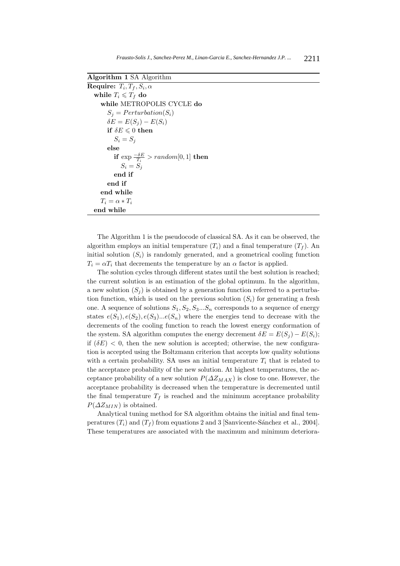| <b>Algorithm 1 SA Algorithm</b>                  |
|--------------------------------------------------|
| Require: $T_i, T_f, S_i, \alpha$                 |
| while $T_i \leqslant T_f$ do                     |
| while METROPOLIS CYCLE do                        |
| $S_i = Perturbation(S_i)$                        |
| $\delta E = E(S_i) - E(S_i)$                     |
| if $\delta E \leqslant 0$ then                   |
| $S_i = S_i$                                      |
| else                                             |
| if $\exp \frac{-\delta E}{T} > random[0,1]$ then |
| $S_i = S_i$                                      |
| end if                                           |
| end if                                           |
| end while                                        |
| $T_i = \alpha * T_i$                             |
| end while                                        |

The Algorithm 1 is the pseudocode of classical SA. As it can be observed, the algorithm employs an initial temperature  $(T_i)$  and a final temperature  $(T_f)$ . An initial solution  $(S_i)$  is randomly generated, and a geometrical cooling function  $T_i = \alpha T_i$  that decrements the temperature by an  $\alpha$  factor is applied.

The solution cycles through different states until the best solution is reached; the current solution is an estimation of the global optimum. In the algorithm, a new solution  $(S_i)$  is obtained by a generation function referred to a perturbation function, which is used on the previous solution  $(S_i)$  for generating a fresh one. A sequence of solutions  $S_1, S_2, S_3...S_n$  corresponds to a sequence of energy states  $e(S_1), e(S_2), e(S_3) \dots e(S_n)$  where the energies tend to decrease with the decrements of the cooling function to reach the lowest energy conformation of the system. SA algorithm computes the energy decrement  $\delta E = E(S_i) - E(S_i);$ if  $(\delta E)$  < 0, then the new solution is accepted; otherwise, the new configuration is accepted using the Boltzmann criterion that accepts low quality solutions with a certain probability. SA uses an initial temperature  $T_i$  that is related to the acceptance probability of the new solution. At highest temperatures, the acceptance probability of a new solution  $P(\Delta Z_{MAX})$  is close to one. However, the acceptance probability is decreased when the temperature is decremented until the final temperature  $T_f$  is reached and the minimum acceptance probability  $P(\Delta Z_{MIN})$  is obtained.

Analytical tuning method for SA algorithm obtains the initial and final temperatures  $(T_i)$  and  $(T_f)$  from equations 2 and 3 [Sanvicente-Sánchez et al., 2004]. These temperatures are associated with the maximum and minimum deteriora-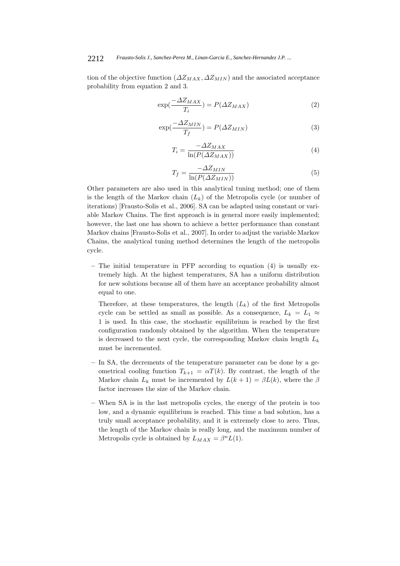#### 2212 *Frausto-Solis J., Sanchez-Perez M., Linan-Garcia E., Sanchez-Hernandez J.P. ...*

tion of the objective function  $(\Delta Z_{MAX}, \Delta Z_{MIN})$  and the associated acceptance probability from equation 2 and 3.

$$
\exp(\frac{-\Delta Z_{MAX}}{T_i}) = P(\Delta Z_{MAX})
$$
\n(2)

$$
\exp(\frac{-\Delta Z_{MIN}}{T_f}) = P(\Delta Z_{MIN})\tag{3}
$$

$$
T_i = \frac{-\Delta Z_{MAX}}{\ln(P(\Delta Z_{MAX}))}
$$
(4)

$$
T_f = \frac{-\Delta Z_{MIN}}{\ln(P(\Delta Z_{MIN}))}
$$
\n(5)

Other parameters are also used in this analytical tuning method; one of them is the length of the Markov chain  $(L_k)$  of the Metropolis cycle (or number of iterations) [Frausto-Solis et al., 2006]. SA can be adapted using constant or variable Markov Chains. The first approach is in general more easily implemented; however, the last one has shown to achieve a better performance than constant Markov chains [Frausto-Solis et al., 2007]. In order to adjust the variable Markov Chains, the analytical tuning method determines the length of the metropolis cycle.

**–** The initial temperature in PFP according to equation (4) is usually extremely high. At the highest temperatures, SA has a uniform distribution for new solutions because all of them have an acceptance probability almost equal to one.

Therefore, at these temperatures, the length  $(L_k)$  of the first Metropolis cycle can be settled as small as possible. As a consequence,  $L_k = L_1 \approx$ 1 is used. In this case, the stochastic equilibrium is reached by the first configuration randomly obtained by the algorithm. When the temperature is decreased to the next cycle, the corresponding Markov chain length  $L_k$ must be incremented.

- **–** In SA, the decrements of the temperature parameter can be done by a geometrical cooling function  $T_{k+1} = \alpha T(k)$ . By contrast, the length of the Markov chain  $L_k$  must be incremented by  $L(k+1) = \beta L(k)$ , where the  $\beta$ factor increases the size of the Markov chain.
- **–** When SA is in the last metropolis cycles, the energy of the protein is too low, and a dynamic equilibrium is reached. This time a bad solution, has a truly small acceptance probability, and it is extremely close to zero. Thus, the length of the Markov chain is really long, and the maximum number of Metropolis cycle is obtained by  $L_{MAX} = \beta^n L(1)$ .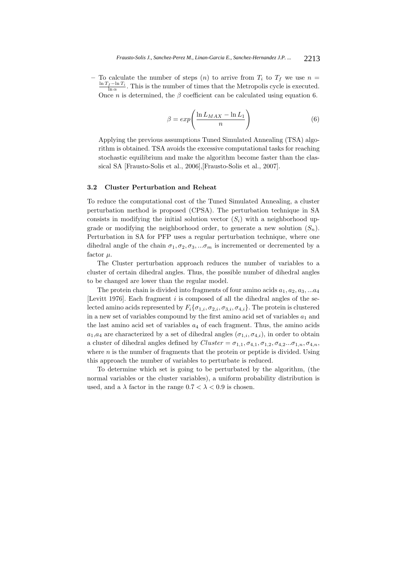$-$  To calculate the number of steps (n) to arrive from  $T_i$  to  $T_f$  we use  $n =$  $\frac{\ln T_f - \ln T_i}{\ln \alpha}$ . This is the number of times that the Metropolis cycle is executed. Once *n* is determined, the  $\beta$  coefficient can be calculated using equation 6.

$$
\beta = exp\left(\frac{\ln L_{MAX} - \ln L_1}{n}\right) \tag{6}
$$

Applying the previous assumptions Tuned Simulated Annealing (TSA) algorithm is obtained. TSA avoids the excessive computational tasks for reaching stochastic equilibrium and make the algorithm become faster than the classical SA [Frausto-Solis et al., 2006],[Frausto-Solis et al., 2007].

### **3.2 Cluster Perturbation and Reheat**

To reduce the computational cost of the Tuned Simulated Annealing, a cluster perturbation method is proposed (CPSA). The perturbation technique in SA consists in modifying the initial solution vector  $(S_i)$  with a neighborhood upgrade or modifying the neighborhood order, to generate a new solution  $(S_n)$ . Perturbation in SA for PFP uses a regular perturbation technique, where one dihedral angle of the chain  $\sigma_1, \sigma_2, \sigma_3, \ldots, \sigma_m$  is incremented or decremented by a factor  $\mu$ .

The Cluster perturbation approach reduces the number of variables to a cluster of certain dihedral angles. Thus, the possible number of dihedral angles to be changed are lower than the regular model.

The protein chain is divided into fragments of four amino acids  $a_1, a_2, a_3, \ldots a_4$ [Levitt 1976]. Each fragment  $i$  is composed of all the dihedral angles of the selected amino acids represented by  $F_i\{\sigma_{1,i}, \sigma_{2,i}, \sigma_{3,i}, \sigma_{4,i}\}$ . The protein is clustered in a new set of variables compound by the first amino acid set of variables  $a_1$  and the last amino acid set of variables  $a_4$  of each fragment. Thus, the amino acids  $a_1, a_4$  are characterized by a set of dihedral angles  $(\sigma_{1,i}, \sigma_{4,i})$ , in order to obtain a cluster of dihedral angles defined by  $Cluster = \sigma_{1,1}, \sigma_{4,1}, \sigma_{1,2}, \sigma_{4,2}...\sigma_{1,n}, \sigma_{4,n}$ , where  $n$  is the number of fragments that the protein or peptide is divided. Using this approach the number of variables to perturbate is reduced.

To determine which set is going to be perturbated by the algorithm, (the normal variables or the cluster variables), a uniform probability distribution is used, and a  $\lambda$  factor in the range  $0.7 < \lambda < 0.9$  is chosen.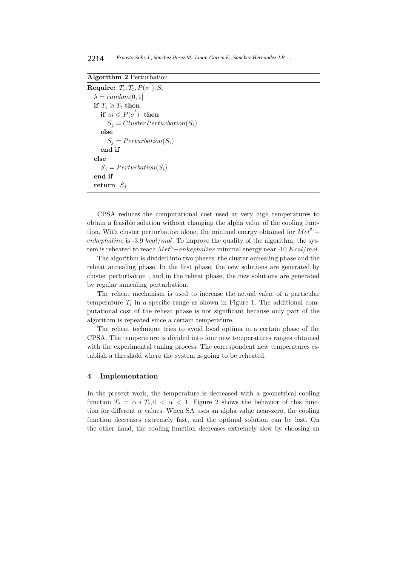2214 *Frausto-Solis J., Sanchez-Perez M., Linan-Garcia E., Sanchez-Hernandez J.P. ...*

**Algorithm 2** Perturbation

 $\textbf{Required: } T_i, T_t, P(\sigma^{'}), S_i$  $\lambda = random[0, 1]$ **if**  $T_i \geqslant T_t$  **then**  $\mathbf{if} \ \ m \leqslant P(\sigma^{'}) \ \ \mathbf{then}$  $S_i = ClusterPerturbation(S_i)$ **else**  $S_i = Perturbation(S_i)$ **end if else**  $S_j = Perturbation(S_i)$ **end if return**  $S_i$ 

CPSA reduces the computational cost used at very high temperatures to obtain a feasible solution without changing the alpha value of the cooling function. With cluster perturbation alone, the minimal energy obtained for  $Met^5$  − enkephaline is  $-3.9 \;kcal/mol$ . To improve the quality of the algorithm, the system is reheated to reach  $Met^5-enkephaline$  minimal energy near -10  $Kcal/mol$ .

The algorithm is divided into two phases: the cluster annealing phase and the reheat annealing phase. In the first phase, the new solutions are generated by cluster perturbation , and in the reheat phase, the new solutions are generated by regular annealing perturbation.

The reheat mechanism is used to increase the actual value of a particular temperature  $T_i$  in a specific range as shown in Figure 1. The additional computational cost of the reheat phase is not significant because only part of the algorithm is repeated since a certain temperature.

The reheat technique tries to avoid local optima in a certain phase of the CPSA. The temperature is divided into four new temperatures ranges obtained with the experimental tuning process. The correspondent new temperatures establish a threshold where the system is going to be reheated.

## **4 Implementation**

In the present work, the temperature is decreased with a geometrical cooling function  $T_i = \alpha * T_i, 0 < \alpha < 1$ . Figure 2 shows the behavior of this function for different  $\alpha$  values. When SA uses an alpha value near-zero, the cooling function decreases extremely fast, and the optimal solution can be lost. On the other hand, the cooling function decreases extremely slow by choosing an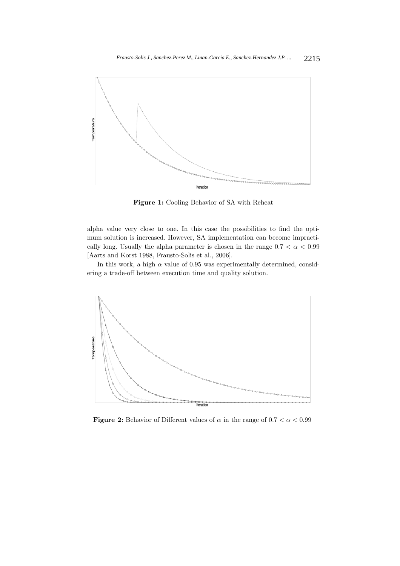

**Figure 1:** Cooling Behavior of SA with Reheat

alpha value very close to one. In this case the possibilities to find the optimum solution is increased. However, SA implementation can become impractically long. Usually the alpha parameter is chosen in the range  $0.7 < \alpha < 0.99$ [Aarts and Korst 1988, Frausto-Solis et al., 2006].

In this work, a high  $\alpha$  value of 0.95 was experimentally determined, considering a trade-off between execution time and quality solution.



**Figure 2:** Behavior of Different values of  $\alpha$  in the range of  $0.7 < \alpha < 0.99$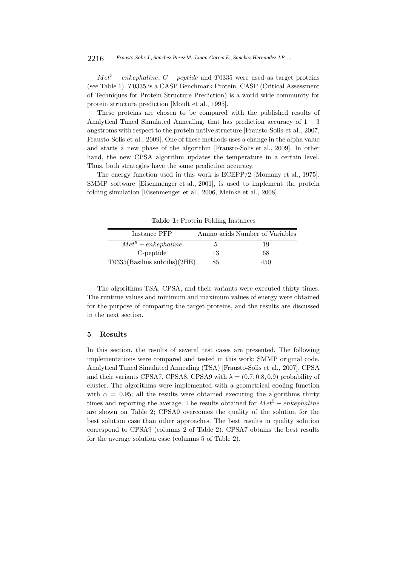#### 2216 *Frausto-Solis J., Sanchez-Perez M., Linan-Garcia E., Sanchez-Hernandez J.P. ...*

 $Met^5$  – enkephaline,  $C$  – peptide and T0335 were used as target proteins (see Table 1). T0335 is a CASP Benchmark Protein. CASP (Critical Assessment of Techniques for Protein Structure Prediction) is a world wide community for protein structure prediction [Moult et al., 1995].

These proteins are chosen to be compared with the published results of Analytical Tuned Simulated Annealing, that has prediction accuracy of  $1 - 3$ angstroms with respect to the protein native structure [Frausto-Solis et al., 2007, Frausto-Solis et al., 2009]. One of these methods uses a change in the alpha value and starts a new phase of the algorithm [Frausto-Solis et al., 2009]. In other hand, the new CPSA algorithm updates the temperature in a certain level. Thus, both strategies have the same prediction accuracy.

The energy function used in this work is ECEPP/2 [Momany et al., 1975]. SMMP software [Eisenmenger et al., 2001], is used to implement the protein folding simulation [Eisenmenger et al., 2006, Meinke et al., 2008].

Instance PFP Amino acids Number of Variables  $Met^5 - enkephaline$  5 19 C-peptide 13 68  $T0335(Basilius subtilis)(2HE)$  85 450

**Table 1:** Protein Folding Instances

The algorithms TSA, CPSA, and their variants were executed thirty times. The runtime values and minimum and maximum values of energy were obtained for the purpose of comparing the target proteins, and the results are discussed in the next section.

### **5 Results**

In this section, the results of several test cases are presented. The following implementations were compared and tested in this work: SMMP original code, Analytical Tuned Simulated Annealing (TSA) [Frausto-Solis et al., 2007], CPSA and their variants CPSA7, CPSA8, CPSA9 with  $\lambda = (0.7, 0.8, 0.9)$  probability of cluster. The algorithms were implemented with a geometrical cooling function with  $\alpha = 0.95$ ; all the results were obtained executing the algorithms thirty times and reporting the average. The results obtained for  $Met^5 - enkephaline$ are shown on Table 2; CPSA9 overcomes the quality of the solution for the best solution case than other approaches. The best results in quality solution correspond to CPSA9 (columns 2 of Table 2). CPSA7 obtains the best results for the average solution case (columns 5 of Table 2).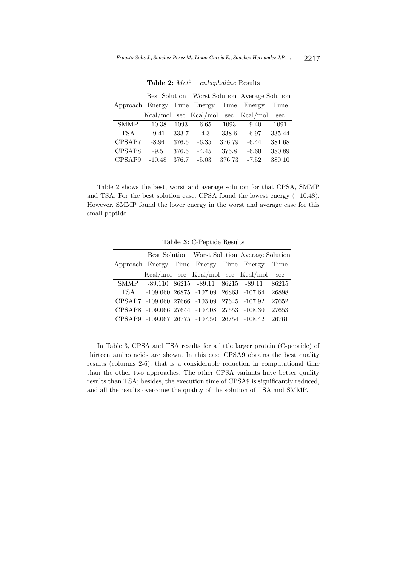|                 |          |       |                       |        | Best Solution Worst Solution Average Solution |        |
|-----------------|----------|-------|-----------------------|--------|-----------------------------------------------|--------|
| Approach Energy |          |       | Time Energy           | Time   | Energy                                        | Time   |
|                 |          |       | Kcal/mol sec Kcal/mol | sec    | Kcal/mol                                      | sec    |
| <b>SMMP</b>     | $-10.38$ | 1093  | $-6.65$               | 1093   | $-9.40$                                       | 1091   |
| <b>TSA</b>      | $-9.41$  | 333.7 | $-4.3$                | 338.6  | $-6.97$                                       | 335.44 |
| CPSAP7          | $-8.94$  | 376.6 | $-6.35$               | 376.79 | $-6.44$                                       | 381.68 |
| CPSAP8          | $-9.5$   | 376.6 | $-4.45$               | 376.8  | $-6.60$                                       | 380.89 |
| CPSAP9          | $-10.48$ | 376.7 | $-5.03$               | 376.73 | $-7.52$                                       | 380.10 |

**Table 2:**  $Met^5 - enkephaline$  Results

Table 2 shows the best, worst and average solution for that CPSA, SMMP and TSA. For the best solution case, CPSA found the lowest energy  $(-10.48)$ . However, SMMP found the lower energy in the worst and average case for this small peptide.

**Table 3:** C-Peptide Results

|                                              |                                                   |  |                                    |  | Best Solution Worst Solution Average Solution |        |
|----------------------------------------------|---------------------------------------------------|--|------------------------------------|--|-----------------------------------------------|--------|
| Approach Energy Time Energy Time Energy Time |                                                   |  |                                    |  |                                               |        |
|                                              |                                                   |  | Kcal/mol sec Kcal/mol sec Kcal/mol |  |                                               | sec    |
|                                              | SMMP -89.110 86215 -89.11 86215 -89.11 86215      |  |                                    |  |                                               |        |
|                                              | TSA -109.060 26875 -107.09 26863 -107.64 26898    |  |                                    |  |                                               |        |
|                                              | CPSAP7 -109.060 27666 -103.09 27645 -107.92       |  |                                    |  |                                               | 27652  |
|                                              | CPSAP8 -109.066 27644 -107.08 27653 -108.30       |  |                                    |  |                                               | -27653 |
|                                              | CPSAP9 -109.067 26775 -107.50 26754 -108.42 26761 |  |                                    |  |                                               |        |

In Table 3, CPSA and TSA results for a little larger protein (C-peptide) of thirteen amino acids are shown. In this case CPSA9 obtains the best quality results (columns 2-6), that is a considerable reduction in computational time than the other two approaches. The other CPSA variants have better quality results than TSA; besides, the execution time of CPSA9 is significantly reduced, and all the results overcome the quality of the solution of TSA and SMMP.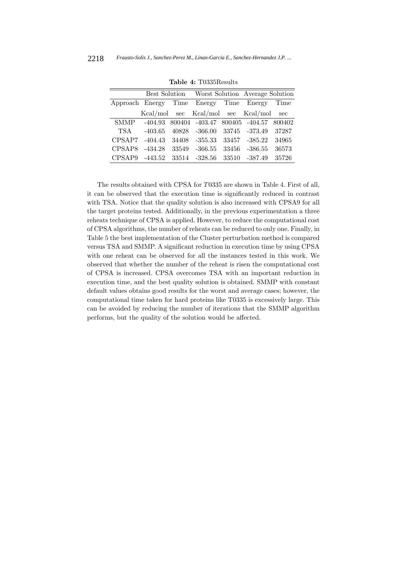|                                         |           |       |                                                          |       | Best Solution Worst Solution Average Solution |       |  |
|-----------------------------------------|-----------|-------|----------------------------------------------------------|-------|-----------------------------------------------|-------|--|
| Approach Energy Time Energy Time Energy |           |       |                                                          |       |                                               | Time  |  |
|                                         |           |       | Kcal/mol sec Kcal/mol sec Kcal/mol                       |       |                                               | sec   |  |
| <b>SMMP</b>                             |           |       | $-404.93$ $800404$ $-403.47$ $800405$ $-404.57$ $800402$ |       |                                               |       |  |
| <b>TSA</b>                              | $-403.65$ | 40828 | $-366.00$                                                |       | 33745 -373.49                                 | 37287 |  |
| CPSAP7                                  | $-404.43$ | 34408 | $-355.33$                                                | 33457 | -385.22                                       | 34965 |  |
| CPSAP8                                  | $-434.28$ | 33549 | $-366.55$                                                | 33456 | $-386.55$                                     | 36573 |  |
| CPSAP9                                  | $-443.52$ | 33514 | $-328.56$                                                | 33510 | $-387.49$                                     | 35726 |  |

**Table 4:** T0335Results

The results obtained with CPSA for T0335 are shown in Table 4. First of all, it can be observed that the execution time is significantly reduced in contrast with TSA. Notice that the quality solution is also increased with CPSA9 for all the target proteins tested. Additionally, in the previous experimentation a three reheats technique of CPSA is applied. However, to reduce the computational cost of CPSA algorithms, the number of reheats can be reduced to only one. Finally, in Table 5 the best implementation of the Cluster perturbation method is compared versus TSA and SMMP. A significant reduction in execution time by using CPSA with one reheat can be observed for all the instances tested in this work. We observed that whether the number of the reheat is risen the computational cost of CPSA is increased. CPSA overcomes TSA with an important reduction in execution time, and the best quality solution is obtained. SMMP with constant default values obtains good results for the worst and average cases; however, the computational time taken for hard proteins like T0335 is excessively large. This can be avoided by reducing the number of iterations that the SMMP algorithm performs, but the quality of the solution would be affected.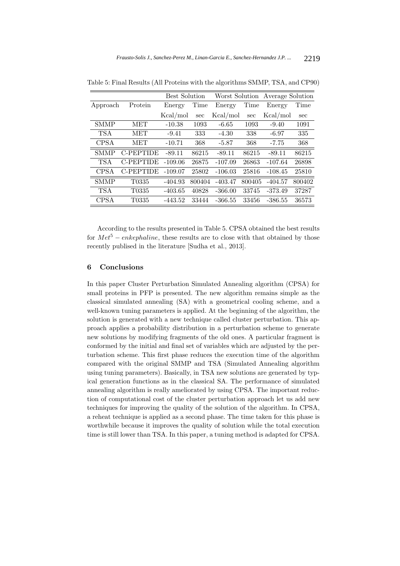|             |                    | <b>Best Solution</b> |        | Worst Solution |        | Average Solution |        |
|-------------|--------------------|----------------------|--------|----------------|--------|------------------|--------|
| Approach    | Protein            | Energy               | Time   | Energy         | Time   | Energy           | Time   |
|             |                    | Kcal/mol             | sec    | Kcal/mol       | sec    | Kcal/mol         | sec    |
| <b>SMMP</b> | MET                | $-10.38$             | 1093   | $-6.65$        | 1093   | $-9.40$          | 1091   |
| <b>TSA</b>  | MET                | $-9.41$              | 333    | $-4.30$        | 338    | $-6.97$          | 335    |
| <b>CPSA</b> | MET                | $-10.71$             | 368    | $-5.87$        | 368    | $-7.75$          | 368    |
| <b>SMMP</b> | C-PEPTIDE          | $-89.11$             | 86215  | $-89.11$       | 86215  | $-89.11$         | 86215  |
| <b>TSA</b>  | C-PEPTIDE          | $-109.06$            | 26875  | $-107.09$      | 26863  | $-107.64$        | 26898  |
| <b>CPSA</b> | C-PEPTIDE          | $-109.07$            | 25802  | $-106.03$      | 25816  | $-108.45$        | 25810  |
| <b>SMMP</b> | T <sub>0</sub> 335 | $-404.93$            | 800404 | $-403.47$      | 800405 | $-404.57$        | 800402 |
| <b>TSA</b>  | T <sub>0</sub> 335 | $-403.65$            | 40828  | $-366.00$      | 33745  | $-373.49$        | 37287  |
| <b>CPSA</b> | T <sub>0335</sub>  | $-443.52$            | 33444  | $-366.55$      | 33456  | $-386.55$        | 36573  |

Table 5: Final Results (All Proteins with the algorithms SMMP, TSA, and CP90)

According to the results presented in Table 5. CPSA obtained the best results for  $Met^5$  – enkephaline, these results are to close with that obtained by those recently publised in the literature [Sudha et al., 2013].

#### **6 Conclusions**

In this paper Cluster Perturbation Simulated Annealing algorithm (CPSA) for small proteins in PFP is presented. The new algorithm remains simple as the classical simulated annealing (SA) with a geometrical cooling scheme, and a well-known tuning parameters is applied. At the beginning of the algorithm, the solution is generated with a new technique called cluster perturbation. This approach applies a probability distribution in a perturbation scheme to generate new solutions by modifying fragments of the old ones. A particular fragment is conformed by the initial and final set of variables which are adjusted by the perturbation scheme. This first phase reduces the execution time of the algorithm compared with the original SMMP and TSA (Simulated Annealing algorithm using tuning parameters). Basically, in TSA new solutions are generated by typical generation functions as in the classical SA. The performance of simulated annealing algorithm is really ameliorated by using CPSA. The important reduction of computational cost of the cluster perturbation approach let us add new techniques for improving the quality of the solution of the algorithm. In CPSA, a reheat technique is applied as a second phase. The time taken for this phase is worthwhile because it improves the quality of solution while the total execution time is still lower than TSA. In this paper, a tuning method is adapted for CPSA.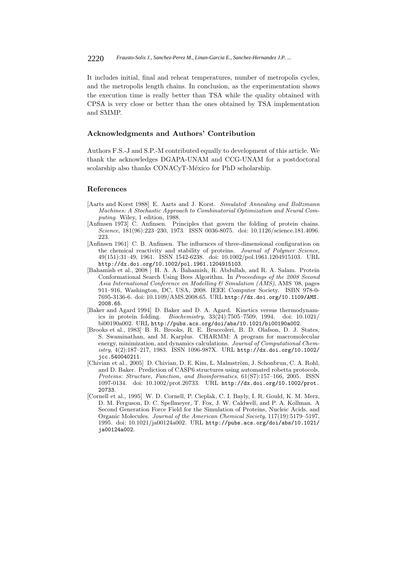It includes initial, final and reheat temperatures, number of metropolis cycles, and the metropolis length chains. In conclusion, as the experimentation shows the execution time is really better than TSA while the quality obtained with CPSA is very close or better than the ones obtained by TSA implementation and SMMP.

#### **Acknowledgments and Authors' Contribution**

Authors F.S.-J and S.P.-M contributed equally to development of this article. We thank the acknowledges DGAPA-UNAM and CCG-UNAM for a postdoctoral scolarship also thanks CONACyT-México for PhD scholarship.

#### **References**

- [Aarts and Korst 1988] E. Aarts and J. Korst. *Simulated Annealing and Boltzmann Machines: A Stochastic Approach to Combinatorial Optimization and Neural Computing*. Wiley, 1 edition, 1988.
- [Anfinsen 1973] C. Anfinsen. Principles that govern the folding of protein chains. *Science*, 181(96):223–230, 1973. ISSN 0036-8075. doi: 10.1126/science.181.4096. 223.
- [Anfinsen 1961] C. B. Anfinsen. The influences of three-dimensional configuration on the chemical reactivity and stability of proteins. *Journal of Polymer Science*, 49(151):31–49, 1961. ISSN 1542-6238. doi: 10.1002/pol.1961.1204915103. URL http://dx.doi.org/10.1002/pol.1961.1204915103.
- [Bahamish et al., 2008 ] H. A. A. Bahamish, R. Abdullah, and R. A. Salam. Protein Conformational Search Using Bees Algorithm. In *Proceedings of the 2008 Second Asia International Conference on Modelling & Simulation (AMS)*, AMS '08, pages 911–916, Washington, DC, USA, 2008. IEEE Computer Society. ISBN 978-0- 7695-3136-6. doi: 10.1109/AMS.2008.65. URL http://dx.doi.org/10.1109/AMS. 2008.65.
- [Baker and Agard 1994] D. Baker and D. A. Agard. Kinetics versus thermodynamics in protein folding. *Biochemistry*, 33(24):7505–7509, 1994. doi: 10.1021/ bi00190a002. URL http://pubs.acs.org/doi/abs/10.1021/bi00190a002.
- [Brooks et al., 1983] B. R. Brooks, R. E. Bruccoleri, B. D. Olafson, D. J. States, S. Swaminathan, and M. Karplus. CHARMM: A program for macromolecular energy, minimization, and dynamics calculations. *Journal of Computational Chemistry*, 4(2):187–217, 1983. ISSN 1096-987X. URL http://dx.doi.org/10.1002/ jcc.540040211.
- [Chivian et al., 2005] D. Chivian, D. E. Kim, L. Malmström, J. Schonbrun, C. A. Rohl, and D. Baker. Prediction of CASP6 structures using automated robetta protocols. *Proteins: Structure, Function, and Bioinformatics*, 61(S7):157–166, 2005. ISSN 1097-0134. doi: 10.1002/prot.20733. URL http://dx.doi.org/10.1002/prot. 20733.
- [Cornell et al., 1995] W. D. Cornell, P. Cieplak, C. I. Bayly, I. R. Gould, K. M. Merz, D. M. Ferguson, D. C. Spellmeyer, T. Fox, J. W. Caldwell, and P. A. Kollman. A Second Generation Force Field for the Simulation of Proteins, Nucleic Acids, and Organic Molecules. *Journal of the American Chemical Society*, 117(19):5179–5197, 1995. doi: 10.1021/ja00124a002. URL http://pubs.acs.org/doi/abs/10.1021/ ja00124a002.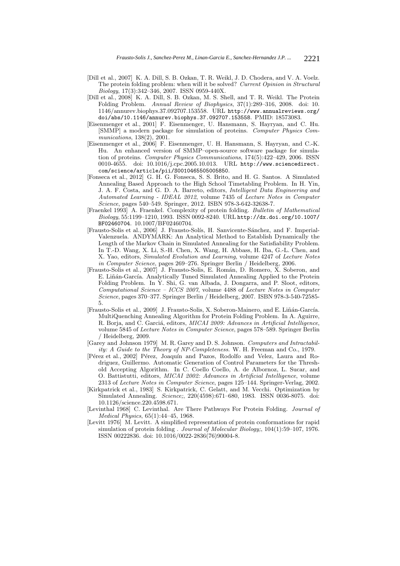- [Dill et al., 2007] K. A. Dill, S. B. Ozkan, T. R. Weikl, J. D. Chodera, and V. A. Voelz. The protein folding problem: when will it be solved? *Current Opinion in Structural Biology*, 17(3):342–346, 2007. ISSN 0959-440X.
- [Dill et al., 2008] K. A. Dill, S. B. Ozkan, M. S. Shell, and T. R. Weikl. The Protein Folding Problem. *Annual Review of Biophysics*, 37(1):289–316, 2008. doi: 10. 1146/annurev.biophys.37.092707.153558. URL http://www.annualreviews.org/ doi/abs/10.1146/annurev.biophys.37.092707.153558. PMID: 18573083.
- [Eisenmenger et al., 2001] F. Eisenmenger, U. Hansmann, S. Hayryan, and C. Hu. [SMMP] a modern package for simulation of proteins. *Computer Physics Communications*, 138(2), 2001.
- [Eisenmenger et al., 2006] F. Eisenmenger, U. H. Hansmann, S. Hayryan, and C.-K. Hu. An enhanced version of SMMP–open-source software package for simulation of proteins. *Computer Physics Communications*, 174(5):422–429, 2006. ISSN 0010-4655. doi: 10.1016/j.cpc.2005.10.013. URL http://www.sciencedirect. com/science/article/pii/S0010465505005850.
- [Fonseca et al., 2012] G. H. G. Fonseca, S. S. Brito, and H. G. Santos. A Simulated Annealing Based Approach to the High School Timetabling Problem. In H. Yin, J. A. F. Costa, and G. D. A. Barreto, editors, *Intelligent Data Engineering and Automated Learning - IDEAL 2012*, volume 7435 of *Lecture Notes in Computer Science*, pages 540–549. Springer, 2012. ISBN 978-3-642-32638-7.
- [Fraenkel 1993] A. Fraenkel. Complexity of protein folding. *Bulletin of Mathematical Biology*, 55:1199–1210, 1993. ISSN 0092-8240. URL http://dx.doi.org/10.1007/ BF02460704. 10.1007/BF02460704.
- [Frausto-Solis et al., 2006] J. Frausto-Solís, H. Sanvicente-Sánchez, and F. Imperial-Valenzuela. ANDYMARK: An Analytical Method to Establish Dynamically the Length of the Markov Chain in Simulated Annealing for the Satisfiability Problem. In T.-D. Wang, X. Li, S.-H. Chen, X. Wang, H. Abbass, H. Iba, G.-L. Chen, and X. Yao, editors, *Simulated Evolution and Learning*, volume 4247 of *Lecture Notes in Computer Science*, pages 269–276. Springer Berlin / Heidelberg, 2006.
- [Frausto-Solis et al., 2007] J. Frausto-Solis, E. Román, D. Romero, X. Soberon, and E. Liñán-García. Analytically Tuned Simulated Annealing Applied to the Protein Folding Problem. In Y. Shi, G. van Albada, J. Dongarra, and P. Sloot, editors, *Computational Science – ICCS 2007*, volume 4488 of *Lecture Notes in Computer Science*, pages 370–377. Springer Berlin / Heidelberg, 2007. ISBN 978-3-540-72585- 5.
- [Frausto-Solis et al., 2009] J. Frausto-Solis, X. Soberon-Mainero, and E. Liñán-García. MultiQuenching Annealing Algorithm for Protein Folding Problem. In A. Aguirre, R. Borja, and C. Garciá, editors, *MICAI 2009: Advances in Artificial Intelligence*, volume 5845 of *Lecture Notes in Computer Science*, pages 578–589. Springer Berlin / Heidelberg, 2009.
- [Garey and Johnson 1979] M. R. Garey and D. S. Johnson. *Computers and Intractability: A Guide to the Theory of NP-Completeness*. W. H. Freeman and Co., 1979.
- [Pérez et al., 2002] Pérez, Joaquín and Pazos, Rodolfo and Velez, Laura and Rodriguez, Guillermo. Automatic Generation of Control Parameters for the Threshold Accepting Algorithm. In C. Coello Coello, A. de Albornoz, L. Sucar, and O. Battistutti, editors, *MICAI 2002: Advances in Artificial Intelligence*, volume 2313 of *Lecture Notes in Computer Science*, pages 125–144. Springer-Verlag, 2002.
- [Kirkpatrick et al., 1983] S. Kirkpatrick, C. Gelatt, and M. Vecchi. Optimization by Simulated Annealing. *Science;*, 220(4598):671–680, 1983. ISSN 0036-8075. doi: 10.1126/science.220.4598.671.
- [Levinthal 1968] C. Levinthal. Are There Pathways For Protein Folding. *Journal of Medical Physics*, 65(1):44–45, 1968.
- [Levitt 1976] M. Levitt. A simplified representation of protein conformations for rapid simulation of protein folding . *Journal of Molecular Biology;*, 104(1):59–107, 1976. ISSN 00222836. doi: 10.1016/0022-2836(76)90004-8.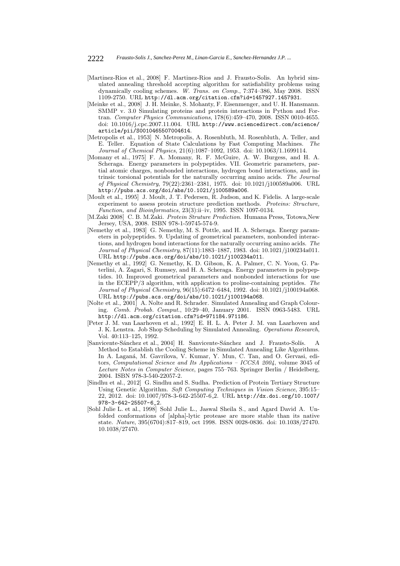- [Martinez-Rios et al., 2008] F. Martinez-Rios and J. Frausto-Solis. An hybrid simulated annealing threshold accepting algorithm for satisfiability problems using dynamically cooling schemes. *W. Trans. on Comp.*, 7:374–386, May 2008. ISSN 1109-2750. URL http://dl.acm.org/citation.cfm?id=1457927.1457931.
- [Meinke et al., 2008] J. H. Meinke, S. Mohanty, F. Eisenmenger, and U. H. Hansmann. SMMP v. 3.0 Simulating proteins and protein interactions in Python and Fortran. *Computer Physics Communications*, 178(6):459–470, 2008. ISSN 0010-4655. doi: 10.1016/j.cpc.2007.11.004. URL http://www.sciencedirect.com/science/ article/pii/S0010465507004614.
- [Metropolis et al., 1953] N. Metropolis, A. Rosenbluth, M. Rosenbluth, A. Teller, and E. Teller. Equation of State Calculations by Fast Computing Machines. *The Journal of Chemical Physics*, 21(6):1087–1092, 1953. doi: 10.1063/1.1699114.
- [Momany et al., 1975] F. A. Momany, R. F. McGuire, A. W. Burgess, and H. A. Scheraga. Energy parameters in polypeptides. VII. Geometric parameters, partial atomic charges, nonbonded interactions, hydrogen bond interactions, and intrinsic torsional potentials for the naturally occurring amino acids. *The Journal of Physical Chemistry*, 79(22):2361–2381, 1975. doi: 10.1021/j100589a006. URL http://pubs.acs.org/doi/abs/10.1021/j100589a006.
- [Moult et al., 1995] J. Moult, J. T. Pedersen, R. Judson, and K. Fidelis. A large-scale experiment to assess protein structure prediction methods. *Proteins: Structure, Function, and Bioinformatics*, 23(3):ii–iv, 1995. ISSN 1097-0134.
- [M.Zaki 2008] C. B. M.Zaki. *Protein Struture Prediction*. Humana Press, Totowa,New Jersey, USA, 2008. ISBN 978-1-59745-574-9.
- [Nemethy et al., 1983] G. Nemethy, M. S. Pottle, and H. A. Scheraga. Energy parameters in polypeptides. 9. Updating of geometrical parameters, nonbonded interactions, and hydrogen bond interactions for the naturally occurring amino acids. *The Journal of Physical Chemistry*, 87(11):1883–1887, 1983. doi: 10.1021/j100234a011. URL http://pubs.acs.org/doi/abs/10.1021/j100234a011.
- [Nemethy et al., 1992] G. Nemethy, K. D. Gibson, K. A. Palmer, C. N. Yoon, G. Paterlini, A. Zagari, S. Rumsey, and H. A. Scheraga. Energy parameters in polypeptides. 10. Improved geometrical parameters and nonbonded interactions for use in the ECEPP/3 algorithm, with application to proline-containing peptides. *The Journal of Physical Chemistry*, 96(15):6472–6484, 1992. doi: 10.1021/j100194a068. URL http://pubs.acs.org/doi/abs/10.1021/j100194a068.
- [Nolte et al., 2001] A. Nolte and R. Schrader. Simulated Annealing and Graph Colouring. *Comb. Probab. Comput.*, 10:29–40, January 2001. ISSN 0963-5483. URL http://dl.acm.org/citation.cfm?id=971184.971186.
- [Peter J. M. van Laarhoven et al., 1992] E. H. L. A. Peter J. M. van Laarhoven and J. K. Lenstra. Job Shop Scheduling by Simulated Annealing. *Operations Research*, Vol. 40:113–125, 1992.
- [Sanvicente-Sánchez et al., 2004] H. Sanvicente-Sánchez and J. Frausto-Solís. A Method to Establish the Cooling Scheme in Simulated Annealing Like Algorithms. In A. Laganá, M. Gavrilova, V. Kumar, Y. Mun, C. Tan, and O. Gervasi, editors, *Computational Science and Its Applications – ICCSA 2004*, volume 3045 of *Lecture Notes in Computer Science*, pages 755–763. Springer Berlin / Heidelberg, 2004. ISBN 978-3-540-22057-2.
- [Sindhu et al., 2012] G. Sindhu and S. Sudha. Prediction of Protein Tertiary Structure Using Genetic Algorithm. *Soft Computing Techniques in Vision Science*, 395:15– 22, 2012. doi: 10.1007/978-3-642-25507-6 2. URL http://dx.doi.org/10.1007/ 978-3-642-25507-6\_2.
- [Sohl Julie L. et al., 1998] Sohl Julie L., Jaswal Sheila S., and Agard David A. Unfolded conformations of [alpha]-lytic protease are more stable than its native state. *Nature*, 395(6704):817–819, oct 1998. ISSN 0028-0836. doi: 10.1038/27470. 10.1038/27470.